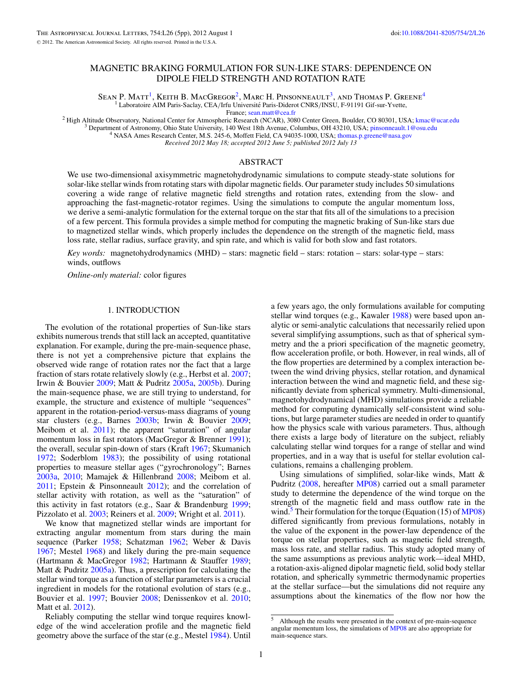# MAGNETIC BRAKING FORMULATION FOR SUN-LIKE STARS: DEPENDENCE ON DIPOLE FIELD STRENGTH AND ROTATION RATE

SEAN P. MATT<sup>1</sup>, KEITH B. MACGREGOR<sup>2</sup>, MARC H. PINSONNEAULT<sup>3</sup>, AND THOMAS P. GREENE<sup>4</sup> <sup>1</sup> Laboratoire AIM Paris-Saclay, CEA/Irfu Université Paris-Diderot CNRS/INSU, F-91191 Gif-sur-Yvette,<br>France; sean.matt@cea.fr

<sup>2</sup> High Altitude Observatory, National Center for Atmospheric Research (NCAR), 3080 Center Green, Boulder, CO 80301, USA; [kmac@ucar.edu](mailto:kmac@ucar.edu) <sup>3</sup> Department of Astronomy, Ohio State University, 140 West 18th Avenue, Columbus,

*Received 2012 May 18; accepted 2012 June 5; published 2012 July 13*

## ABSTRACT

We use two-dimensional axisymmetric magnetohydrodynamic simulations to compute steady-state solutions for solar-like stellar winds from rotating stars with dipolar magnetic fields. Our parameter study includes 50 simulations covering a wide range of relative magnetic field strengths and rotation rates, extending from the slow- and approaching the fast-magnetic-rotator regimes. Using the simulations to compute the angular momentum loss, we derive a semi-analytic formulation for the external torque on the star that fits all of the simulations to a precision of a few percent. This formula provides a simple method for computing the magnetic braking of Sun-like stars due to magnetized stellar winds, which properly includes the dependence on the strength of the magnetic field, mass loss rate, stellar radius, surface gravity, and spin rate, and which is valid for both slow and fast rotators.

*Key words:* magnetohydrodynamics (MHD) – stars: magnetic field – stars: rotation – stars: solar-type – stars: winds, outflows

*Online-only material:* color figures

## 1. INTRODUCTION

The evolution of the rotational properties of Sun-like stars exhibits numerous trends that still lack an accepted, quantitative explanation. For example, during the pre-main-sequence phase, there is not yet a comprehensive picture that explains the observed wide range of rotation rates nor the fact that a large fraction of stars rotate relatively slowly (e.g., Herbst et al. [2007;](#page-4-0) Irwin & Bouvier [2009;](#page-4-0) Matt & Pudritz [2005a,](#page-4-0) [2005b\)](#page-4-0). During the main-sequence phase, we are still trying to understand, for example, the structure and existence of multiple "sequences" apparent in the rotation-period-versus-mass diagrams of young star clusters (e.g., Barnes [2003b;](#page-4-0) Irwin & Bouvier [2009;](#page-4-0) Meibom et al. [2011\)](#page-4-0); the apparent "saturation" of angular momentum loss in fast rotators (MacGregor & Brenner [1991\)](#page-4-0); the overall, secular spin-down of stars (Kraft [1967;](#page-4-0) Skumanich [1972;](#page-4-0) Soderblom [1983\)](#page-4-0); the possibility of using rotational properties to measure stellar ages ("gyrochronology"; Barnes [2003a,](#page-4-0) [2010;](#page-4-0) Mamajek & Hillenbrand [2008;](#page-4-0) Meibom et al. [2011;](#page-4-0) Epstein & Pinsonneault [2012\)](#page-4-0); and the correlation of stellar activity with rotation, as well as the "saturation" of this activity in fast rotators (e.g., Saar & Brandenburg [1999;](#page-4-0) Pizzolato et al. [2003;](#page-4-0) Reiners et al. [2009;](#page-4-0) Wright et al. [2011\)](#page-4-0).

We know that magnetized stellar winds are important for extracting angular momentum from stars during the main sequence (Parker [1958;](#page-4-0) Schatzman [1962;](#page-4-0) Weber & Davis [1967;](#page-4-0) Mestel [1968\)](#page-4-0) and likely during the pre-main sequence (Hartmann & MacGregor [1982;](#page-4-0) Hartmann & Stauffer [1989;](#page-4-0) Matt & Pudritz [2005a\)](#page-4-0). Thus, a prescription for calculating the stellar wind torque as a function of stellar parameters is a crucial ingredient in models for the rotational evolution of stars (e.g., Bouvier et al. [1997;](#page-4-0) Bouvier [2008;](#page-4-0) Denissenkov et al. [2010;](#page-4-0) Matt et al. [2012\)](#page-4-0).

Reliably computing the stellar wind torque requires knowledge of the wind acceleration profile and the magnetic field geometry above the surface of the star (e.g., Mestel [1984\)](#page-4-0). Until

a few years ago, the only formulations available for computing stellar wind torques (e.g., Kawaler [1988\)](#page-4-0) were based upon analytic or semi-analytic calculations that necessarily relied upon several simplifying assumptions, such as that of spherical symmetry and the a priori specification of the magnetic geometry, flow acceleration profile, or both. However, in real winds, all of the flow properties are determined by a complex interaction between the wind driving physics, stellar rotation, and dynamical interaction between the wind and magnetic field, and these significantly deviate from spherical symmetry. Multi-dimensional, magnetohydrodynamical (MHD) simulations provide a reliable method for computing dynamically self-consistent wind solutions, but large parameter studies are needed in order to quantify how the physics scale with various parameters. Thus, although there exists a large body of literature on the subject, reliably calculating stellar wind torques for a range of stellar and wind properties, and in a way that is useful for stellar evolution calculations, remains a challenging problem.

Using simulations of simplified, solar-like winds, Matt & Pudritz [\(2008,](#page-4-0) hereafter [MP08\)](#page-4-0) carried out a small parameter study to determine the dependence of the wind torque on the strength of the magnetic field and mass outflow rate in the wind.<sup>5</sup> Their formulation for the torque (Equation (15) of  $MP08$ ) differed significantly from previous formulations, notably in the value of the exponent in the power-law dependence of the torque on stellar properties, such as magnetic field strength, mass loss rate, and stellar radius. This study adopted many of the same assumptions as previous analytic work—ideal MHD, a rotation-axis-aligned dipolar magnetic field, solid body stellar rotation, and spherically symmetric thermodynamic properties at the stellar surface—but the simulations did not require any assumptions about the kinematics of the flow nor how the

 $\overline{\text{5}}$  Although the results were presented in the context of pre-main-sequence angular momentum loss, the simulations of [MP08](#page-4-0) are also appropriate for main-sequence stars.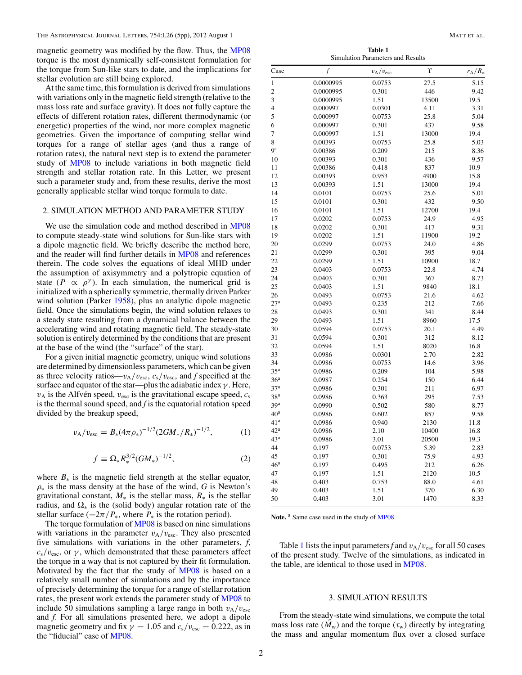<span id="page-1-0"></span>magnetic geometry was modified by the flow. Thus, the [MP08](#page-4-0) torque is the most dynamically self-consistent formulation for the torque from Sun-like stars to date, and the implications for stellar evolution are still being explored.

At the same time, this formulation is derived from simulations with variations only in the magnetic field strength (relative to the mass loss rate and surface gravity). It does not fully capture the effects of different rotation rates, different thermodynamic (or energetic) properties of the wind, nor more complex magnetic geometries. Given the importance of computing stellar wind torques for a range of stellar ages (and thus a range of rotation rates), the natural next step is to extend the parameter study of [MP08](#page-4-0) to include variations in both magnetic field strength and stellar rotation rate. In this Letter, we present such a parameter study and, from these results, derive the most generally applicable stellar wind torque formula to date.

## 2. SIMULATION METHOD AND PARAMETER STUDY

We use the simulation code and method described in [MP08](#page-4-0) to compute steady-state wind solutions for Sun-like stars with a dipole magnetic field. We briefly describe the method here, and the reader will find further details in [MP08](#page-4-0) and references therein. The code solves the equations of ideal MHD under the assumption of axisymmetry and a polytropic equation of state  $(P \propto \rho^{\gamma})$ . In each simulation, the numerical grid is initialized with a spherically symmetric, thermally driven Parker wind solution (Parker [1958\)](#page-4-0), plus an analytic dipole magnetic field. Once the simulations begin, the wind solution relaxes to a steady state resulting from a dynamical balance between the accelerating wind and rotating magnetic field. The steady-state solution is entirely determined by the conditions that are present at the base of the wind (the "surface" of the star).

For a given initial magnetic geometry, unique wind solutions are determined by dimensionless parameters, which can be given as three velocity ratios— $v_A/v_{\text{esc}}, c_s/v_{\text{esc}},$  and *f* specified at the surface and equator of the star—plus the adiabatic index *γ* . Here,  $v_A$  is the Alfvén speed,  $v_{\text{esc}}$  is the gravitational escape speed,  $c_s$ is the thermal sound speed, and *f* is the equatorial rotation speed divided by the breakup speed,

$$
v_{A}/v_{\rm esc} = B_{*}(4\pi \rho_{*})^{-1/2} (2GM_{*}/R_{*})^{-1/2}, \qquad (1)
$$

$$
f \equiv \Omega_* R_*^{3/2} (GM_*)^{-1/2}, \tag{2}
$$

where  $B_*$  is the magnetic field strength at the stellar equator,  $\rho_*$  is the mass density at the base of the wind, *G* is Newton's gravitational constant,  $M_*$  is the stellar mass,  $R_*$  is the stellar radius, and  $\Omega_*$  is the (solid body) angular rotation rate of the stellar surface ( $=2\pi/P_*$ , where  $P_*$  is the rotation period).

The torque formulation of [MP08](#page-4-0) is based on nine simulations with variations in the parameter  $v_A/v_{\text{esc}}$ . They also presented five simulations with variations in the other parameters, *f*,  $c_s/v_{\text{esc}}$ , or  $\gamma$ , which demonstrated that these parameters affect the torque in a way that is not captured by their fit formulation. Motivated by the fact that the study of [MP08](#page-4-0) is based on a relatively small number of simulations and by the importance of precisely determining the torque for a range of stellar rotation rates, the present work extends the parameter study of [MP08](#page-4-0) to include 50 simulations sampling a large range in both  $v_A/v_{\text{esc}}$ and *f*. For all simulations presented here, we adopt a dipole magnetic geometry and fix  $\gamma = 1.05$  and  $c_s/v_{\text{esc}} = 0.222$ , as in the "fiducial" case of [MP08.](#page-4-0)

**Table 1** Simulation Parameters and Results

| Case            | f         | $v_{\rm A}/v_{\rm esc}$ | r     | $r_A/R_*$ |
|-----------------|-----------|-------------------------|-------|-----------|
| $\mathbf{1}$    | 0.0000995 | 0.0753                  | 27.5  | 5.15      |
| $\overline{c}$  | 0.0000995 | 0.301                   | 446   | 9.42      |
| 3               | 0.0000995 | 1.51                    | 13500 | 19.5      |
| $\overline{4}$  | 0.000997  | 0.0301                  | 4.11  | 3.31      |
| 5               | 0.000997  | 0.0753                  | 25.8  | 5.04      |
| 6               | 0.000997  | 0.301                   | 437   | 9.58      |
| 7               | 0.000997  | 1.51                    | 13000 | 19.4      |
| 8               | 0.00393   | 0.0753                  | 25.8  | 5.03      |
| <b>g</b> a      | 0.00386   | 0.209                   | 215   | 8.36      |
| 10              | 0.00393   | 0.301                   | 436   | 9.57      |
| 11              | 0.00386   | 0.418                   | 837   | 10.9      |
| 12              | 0.00393   | 0.953                   | 4900  | 15.8      |
| 13              | 0.00393   | 1.51                    | 13000 | 19.4      |
| 14              | 0.0101    | 0.0753                  | 25.6  | 5.01      |
| 15              | 0.0101    | 0.301                   | 432   | 9.50      |
| 16              | 0.0101    | 1.51                    | 12700 | 19.4      |
| 17              | 0.0202    | 0.0753                  | 24.9  | 4.95      |
| 18              | 0.0202    | 0.301                   | 417   | 9.31      |
| 19              | 0.0202    | 1.51                    | 11900 | 19.2      |
| 20              | 0.0299    | 0.0753                  | 24.0  | 4.86      |
| 21              | 0.0299    | 0.301                   | 395   | 9.04      |
| 22              | 0.0299    | 1.51                    | 10900 | 18.7      |
| 23              | 0.0403    | 0.0753                  | 22.8  | 4.74      |
| 24              | 0.0403    | 0.301                   | 367   | 8.73      |
| 25              | 0.0403    | 1.51                    | 9840  | 18.1      |
| 26              | 0.0493    | 0.0753                  | 21.6  | 4.62      |
| 27 <sup>a</sup> | 0.0493    | 0.235                   | 212   | 7.66      |
| 28              | 0.0493    | 0.301                   | 341   | 8.44      |
| 29              | 0.0493    | 1.51                    | 8960  | 17.5      |
| 30              | 0.0594    | 0.0753                  | 20.1  | 4.49      |
| 31              | 0.0594    | 0.301                   | 312   | 8.12      |
| 32              | 0.0594    | 1.51                    | 8020  | 16.8      |
| 33              | 0.0986    | 0.0301                  | 2.70  | 2.82      |
| 34              | 0.0986    | 0.0753                  | 14.6  | 3.96      |
| 35 <sup>a</sup> | 0.0986    | 0.209                   | 104   | 5.98      |
| 36 <sup>a</sup> | 0.0987    | 0.254                   | 150   | 6.44      |
| 37 <sup>a</sup> | 0.0986    | 0.301                   | 211   | 6.97      |
| 38 <sup>a</sup> | 0.0986    | 0.363                   | 295   | 7.53      |
| 39 <sup>a</sup> | 0.0990    | 0.502                   | 580   | 8.77      |
| 40 <sup>a</sup> | 0.0986    | 0.602                   | 857   | 9.58      |
| 41 <sup>a</sup> | 0.0986    | 0.940                   | 2130  | 11.8      |
| 42 <sup>a</sup> | 0.0986    | 2.10                    | 10400 | 16.8      |
| 43 <sup>a</sup> | 0.0986    | 3.01                    | 20500 | 19.3      |
| 44              | 0.197     | 0.0753                  | 5.39  | 2.83      |
| 45              | 0.197     | 0.301                   | 75.9  | 4.93      |
| 46 <sup>a</sup> | 0.197     | 0.495                   | 212   | 6.26      |
| 47              | 0.197     | 1.51                    | 2120  | 10.5      |
| 48              | 0.403     | 0.753                   | 88.0  | 4.61      |
| 49              | 0.403     | 1.51                    | 370   | 6.30      |
| 50              | 0.403     | 3.01                    | 1470  | 8.33      |

Note.<sup>a</sup> Same case used in the study of [MP08.](#page-4-0)

Table 1 lists the input parameters f and  $v_A/v_{\text{esc}}$  for all 50 cases of the present study. Twelve of the simulations, as indicated in the table, are identical to those used in [MP08.](#page-4-0)

#### 3. SIMULATION RESULTS

From the steady-state wind simulations, we compute the total mass loss rate  $(M_w)$  and the torque  $(\tau_w)$  directly by integrating the mass and angular momentum flux over a closed surface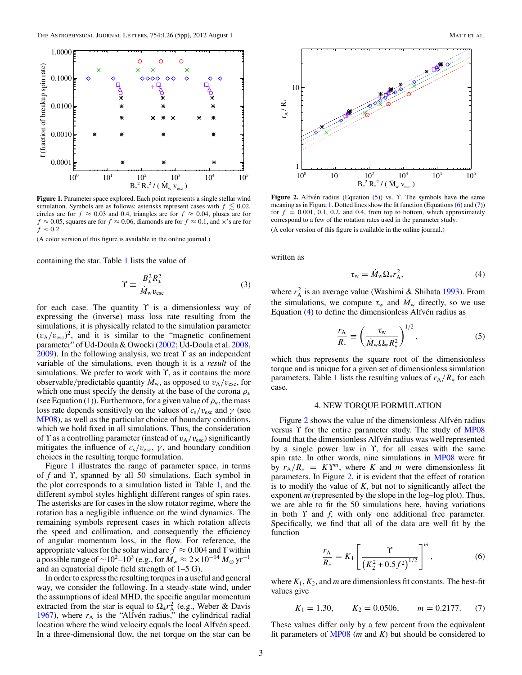<span id="page-2-0"></span>

**Figure 1.** Parameter space explored. Each point represents a single stellar wind simulation. Symbols are as follows: asterisks represent cases with  $f \lesssim 0.02$ , circles are for  $f \approx 0.03$  and 0.4, triangles are for  $f \approx 0.04$ , pluses are for  $f \approx 0.05$ , squares are for  $f \approx 0.06$ , diamonds are for  $f \approx 0.1$ , and  $\times$ 's are for  $f \approx 0.2$ .

(A color version of this figure is available in the online journal.)

containing the star. Table [1](#page-1-0) lists the value of

$$
\Upsilon \equiv \frac{B_*^2 R_*^2}{\dot{M}_w v_{\text{esc}}} \tag{3}
$$

for each case. The quantity  $\Upsilon$  is a dimensionless way of expressing the (inverse) mass loss rate resulting from the simulations, it is physically related to the simulation parameter  $(v_A/v_{\rm esc})^2$ , and it is similar to the "magnetic confinement parameter" of Ud-Doula & Owocki [\(2002;](#page-4-0) Ud-Doula et al. [2008,](#page-4-0)  $2009$ ). In the following analysis, we treat  $\Upsilon$  as an independent variable of the simulations, even though it is a *result* of the simulations. We prefer to work with  $\Upsilon$ , as it contains the more observable/predictable quantity  $M_w$ , as opposed to  $v_A/v_{esc}$ , for which one must specify the density at the base of the corona *ρ*<sup>∗</sup> (see Equation [\(1\)](#page-1-0)). Furthermore, for a given value of  $\rho_{*}$ , the mass loss rate depends sensitively on the values of  $c_s/v_{\text{esc}}$  and  $\gamma$  (see [MP08\)](#page-4-0), as well as the particular choice of boundary conditions, which we hold fixed in all simulations. Thus, the consideration of Υ as a controlling parameter (instead of  $v_A/v_{\text{esc}}$ ) significantly mitigates the influence of  $c_s/v_{\text{esc}}, \gamma$ , and boundary condition choices in the resulting torque formulation.

Figure 1 illustrates the range of parameter space, in terms of *f* and ϒ, spanned by all 50 simulations. Each symbol in the plot corresponds to a simulation listed in Table [1,](#page-1-0) and the different symbol styles highlight different ranges of spin rates. The asterisks are for cases in the slow rotator regime, where the rotation has a negligible influence on the wind dynamics. The remaining symbols represent cases in which rotation affects the speed and collimation, and consequently the efficiency of angular momentum loss, in the flow. For reference, the appropriate values for the solar wind are  $f \approx 0.004$  and Y within a possible range of  $\sim$ 10<sup>2</sup>–10<sup>3</sup> (e.g., for  $\dot{M}_w$  ≈ 2 × 10<sup>-14</sup>  $M_\odot$  yr<sup>-1</sup> and an equatorial dipole field strength of 1–5 G).

In order to express the resulting torques in a useful and general way, we consider the following. In a steady-state wind, under the assumptions of ideal MHD, the specific angular momentum extracted from the star is equal to  $\Omega_* r_A^2$  (e.g., Weber & Davis [1967\)](#page-4-0), where  $r_A$  is the "Alfvén radius," the cylindrical radial location where the wind velocity equals the local Alfven speed. In a three-dimensional flow, the net torque on the star can be



Figure 2. Alfvén radius (Equation (5)) vs. Y. The symbols have the same meaning as in Figure 1. Dotted lines show the fit function (Equations  $(6)$  and  $(7)$ ) for  $f = 0.001, 0.1, 0.2,$  and 0.4, from top to bottom, which approximately correspond to a few of the rotation rates used in the parameter study. (A color version of this figure is available in the online journal.)

written as

$$
\tau_{\rm w} = \dot{M}_{\rm w} \Omega_{\rm *} r_{\rm A}^2,\tag{4}
$$

where  $r_A^2$  is an average value (Washimi & Shibata [1993\)](#page-4-0). From the simulations, we compute  $\tau_w$  and  $M_w$  directly, so we use Equation  $(4)$  to define the dimensionless Alfven radius as

$$
\frac{r_{\rm A}}{R_*} \equiv \left(\frac{\tau_{\rm w}}{\dot{M}_{\rm w}\Omega_* R_*^2}\right)^{1/2},\tag{5}
$$

which thus represents the square root of the dimensionless torque and is unique for a given set of dimensionless simulation parameters. Table [1](#page-1-0) lists the resulting values of  $r_A/R_*$  for each case.

### 4. NEW TORQUE FORMULATION

Figure 2 shows the value of the dimensionless Alfven radius versus ϒ for the entire parameter study. The study of [MP08](#page-4-0) found that the dimensionless Alfvén radius was well represented by a single power law in ϒ, for all cases with the same spin rate. In other words, nine simulations in [MP08](#page-4-0) were fit by  $r_A/R_* = K\Upsilon^m$ , where *K* and *m* were dimensionless fit parameters. In Figure 2, it is evident that the effect of rotation is to modify the value of  $K$ , but not to significantly affect the exponent *m* (represented by the slope in the log–log plot). Thus, we are able to fit the 50 simulations here, having variations in both ϒ and *f*, with only one additional free parameter. Specifically, we find that all of the data are well fit by the function

$$
\frac{r_{A}}{R_{*}} = K_{1} \left[ \frac{\Upsilon}{\left(K_{2}^{2} + 0.5 f^{2}\right)^{1/2}} \right]^{m}, \tag{6}
$$

where  $K_1$ ,  $K_2$ , and *m* are dimensionless fit constants. The best-fit values give

$$
K_1 = 1.30,
$$
  $K_2 = 0.0506,$   $m = 0.2177.$  (7)

These values differ only by a few percent from the equivalent fit parameters of [MP08](#page-4-0) (*m* and *K*) but should be considered to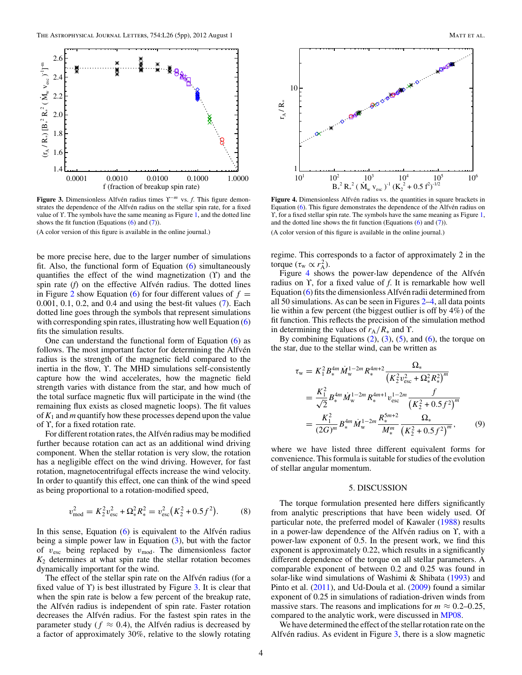

**Figure 3.** Dimensionless Alfvén radius times <sup>γ−*m*</sup> vs. *f*. This figure demonstrates the dependence of the Alfvén radius on the stellar spin rate, for a fixed value of ϒ. The symbols have the same meaning as Figure [1,](#page-2-0) and the dotted line shows the fit function (Equations  $(6)$  and  $(7)$ ).

(A color version of this figure is available in the online journal.)

be more precise here, due to the larger number of simulations fit. Also, the functional form of Equation [\(6\)](#page-2-0) simultaneously quantifies the effect of the wind magnetization  $(Y)$  and the spin rate  $(f)$  on the effective Alfvén radius. The dotted lines in Figure [2](#page-2-0) show Equation [\(6\)](#page-2-0) for four different values of  $f =$ 0.001, 0.1, 0.2, and 0.4 and using the best-fit values [\(7\)](#page-2-0). Each dotted line goes through the symbols that represent simulations with corresponding spin rates, illustrating how well Equation [\(6\)](#page-2-0) fits the simulation results.

One can understand the functional form of Equation [\(6\)](#page-2-0) as follows. The most important factor for determining the Alfvén radius is the strength of the magnetic field compared to the inertia in the flow, ϒ. The MHD simulations self-consistently capture how the wind accelerates, how the magnetic field strength varies with distance from the star, and how much of the total surface magnetic flux will participate in the wind (the remaining flux exists as closed magnetic loops). The fit values of *K*<sup>1</sup> and *m* quantify how these processes depend upon the value of ϒ, for a fixed rotation rate.

For different rotation rates, the Alfvén radius may be modified further because rotation can act as an additional wind driving component. When the stellar rotation is very slow, the rotation has a negligible effect on the wind driving. However, for fast rotation, magnetocentrifugal effects increase the wind velocity. In order to quantify this effect, one can think of the wind speed as being proportional to a rotation-modified speed,

$$
v_{\text{mod}}^2 = K_2^2 v_{\text{esc}}^2 + \Omega_*^2 R_*^2 = v_{\text{esc}}^2 (K_2^2 + 0.5 f^2). \tag{8}
$$

In this sense, Equation  $(6)$  is equivalent to the Alfvén radius being a simple power law in Equation [\(3\)](#page-2-0), but with the factor of  $v_{\text{esc}}$  being replaced by  $v_{\text{mod}}$ . The dimensionless factor  $K_2$  determines at what spin rate the stellar rotation becomes dynamically important for the wind.

The effect of the stellar spin rate on the Alfvén radius (for a fixed value of  $\Upsilon$ ) is best illustrated by Figure 3. It is clear that when the spin rate is below a few percent of the breakup rate, the Alfvén radius is independent of spin rate. Faster rotation decreases the Alfvén radius. For the fastest spin rates in the parameter study ( $f \approx 0.4$ ), the Alfvén radius is decreased by a factor of approximately 30%, relative to the slowly rotating



Figure 4. Dimensionless Alfvén radius vs. the quantities in square brackets in Equation  $(6)$ . This figure demonstrates the dependence of the Alfvén radius on Y, for a fixed stellar spin rate. The symbols have the same meaning as Figure [1,](#page-2-0) and the dotted line shows the fit function (Equations  $(6)$  and  $(7)$ ). (A color version of this figure is available in the online journal.)

regime. This corresponds to a factor of approximately 2 in the torque  $(\tau_w \propto r_A^2)$ .

Figure  $4$  shows the power-law dependence of the Alfvén radius on ϒ, for a fixed value of *f*. It is remarkable how well Equation  $(6)$  fits the dimensionless Alfvén radii determined from all 50 simulations. As can be seen in Figures [2–](#page-2-0)4, all data points lie within a few percent (the biggest outlier is off by 4%) of the fit function. This reflects the precision of the simulation method in determining the values of  $r_A/R_*$  and Y.

By combining Equations  $(2)$ ,  $(3)$ ,  $(5)$ , and  $(6)$ , the torque on the star, due to the stellar wind, can be written as

$$
\tau_{\rm w} = K_1^2 B_*^{4m} \dot{M}_{\rm w}^{1-2m} R_*^{4m+2} \frac{\Omega_*}{\left(K_2^2 v_{\rm esc}^2 + \Omega_*^2 R_*^2\right)^m}
$$
\n
$$
= \frac{K_1^2}{\sqrt{2}} B_*^{4m} \dot{M}_{\rm w}^{1-2m} R_*^{4m+1} v_{\rm esc}^{1-2m} \frac{f}{\left(K_2^2 + 0.5 f^2\right)^m}
$$
\n
$$
= \frac{K_1^2}{(2G)^m} B_*^{4m} \dot{M}_{\rm w}^{1-2m} \frac{R_*^{5m+2}}{M_*^m} \frac{\Omega_*}{\left(K_2^2 + 0.5 f^2\right)^m},\tag{9}
$$

where we have listed three different equivalent forms for convenience. This formula is suitable for studies of the evolution of stellar angular momentum.

### 5. DISCUSSION

The torque formulation presented here differs significantly from analytic prescriptions that have been widely used. Of particular note, the preferred model of Kawaler [\(1988\)](#page-4-0) results in a power-law dependence of the Alfvén radius on Υ, with a power-law exponent of 0.5. In the present work, we find this exponent is approximately 0.22, which results in a significantly different dependence of the torque on all stellar parameters. A comparable exponent of between 0.2 and 0.25 was found in solar-like wind simulations of Washimi & Shibata [\(1993\)](#page-4-0) and Pinto et al. [\(2011\)](#page-4-0), and Ud-Doula et al. [\(2009\)](#page-4-0) found a similar exponent of 0.25 in simulations of radiation-driven winds from massive stars. The reasons and implications for  $m \approx 0.2{\text -}0.25$ , compared to the analytic work, were discussed in [MP08.](#page-4-0)

We have determined the effect of the stellar rotation rate on the Alfvén radius. As evident in Figure  $3$ , there is a slow magnetic